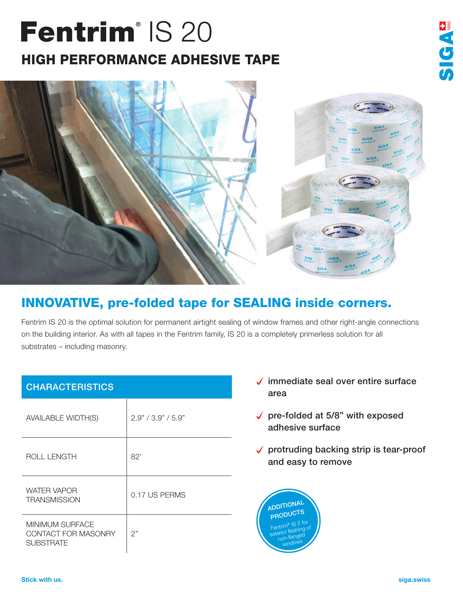## Fentrim<sup>®</sup> IS 20 HIGH PERFORMANCE ADHESIVE TAPE





## INNOVATIVE, pre-folded tape for SEALING inside corners.

Fentrim IS 20 is the optimal solution for permanent airtight sealing of window frames and other right-angle connections on the building interior. As with all tapes in the Fentrim family, IS 20 is a completely primerless solution for all substrates – including masonry.

| <b>CHARACTERISTICS</b>                                            |                    |
|-------------------------------------------------------------------|--------------------|
| <b>AVAILABLE WIDTH(S)</b>                                         | 2.9" / 3.9" / 5.9" |
| <b>ROLL LENGTH</b>                                                | 82'                |
| <b>WATER VAPOR</b><br><b>TRANSMISSION</b>                         | 0.17 US PERMS      |
| <b>MINIMUM SURFACE</b><br>CONTACT FOR MASONRY<br><b>SUBSTRATE</b> | 2"                 |

- $\sqrt{\ }$  immediate seal over entire surface area
- $\sqrt{\ }$  pre-folded at 5/8" with exposed adhesive surface
- $\sqrt{\ }$  protruding backing strip is tear-proof and easy to remove